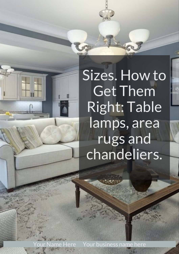<span id="page-0-0"></span>our Name Here Your business name here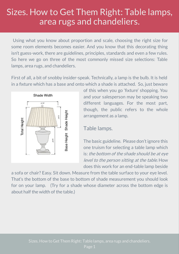Using what you know about proportion and scale, choosing the right size for some room elements becomes easier. And you know that this decorating thing isn't guess-work, there are guidelines, principles, standards and even a few rules. So here we go on three of the most commonly missed size selections: Table lamps, area rugs, and chandeliers.

First of all, a bit of snobby insider-speak. Technically, a lamp is the bulb. It is held in a fixture which has a base and onto which a shade is attached. So, just beware



of this when you go 'fixture' shopping. You and your salesperson may be speaking two different languages. For the most part, though, the public refers to the whole arrangement as a lamp.

#### Table lamps.

The basic guideline. Please don't ignore this one truism for selecting a table lamp which is: the bottom of the shade should be at eye level to the person sitting at the table. How does this work for an end-table lamp beside

a sofa or chair? Easy. Sit down. Measure from the table surface to your eye level. That's the bottom of the base to bottom of shade measurement you should look for on your lamp. (Try for a shade whose diameter across the bottom edge is about half the width of the table.)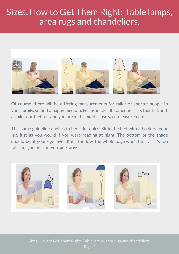

Of course, there will be differing measurements for taller or shorter people in your family, so find a happy medium. For example: If someone is six feet tall, and a child four feet tall, and you are in the middle, use your measurement.

This same guideline applies to bedside tables. Sit in the bed with a book on your lap, just as you would if you were reading at night. The bottom of the shade should be at your eye level. If it's too low, the whole page won't be lit, if it's too tall, the glare will hit you side-ways.

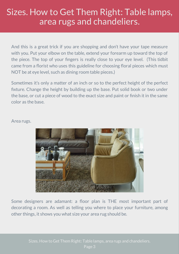And this is a great trick if you are shopping and don't have your tape measure with you. Put your elbow on the table, extend your forearm up toward the top of the piece. The top of your fingers is really close to your eye level. (This tidbit came from a florist who uses this guideline for choosing floral pieces which must NOT be at eye level, such as dining room table pieces.)

Sometimes it's only a matter of an inch or so to the perfect height of the perfect fixture. Change the height by building up the base. Put solid book or two under the base, or cut a piece of wood to the exact size and paint or finish it in the same color as the base.

#### Area rugs.



Some designers are adamant: a floor plan is THE most important part of decorating a room. As well as telling you where to place your furniture, among other things, it shows you what size your area rug should be.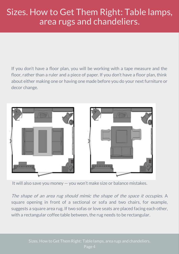If you don't have a floor plan, you will be working with a tape measure and the floor, rather than a ruler and a piece of paper. If you don't have a floor plan, think about either making one or having one made before you do your next furniture or decor change.



It will also save you money — you won't make size or balance mistakes.

The shape of an area rug should mimic the shape of the space it occupies. A square opening in front of a sectional or sofa and two chairs, for example, suggests a square area rug. If two sofas or love seats are placed facing each other, with a rectangular coffee table between, the rug needs to be rectangular.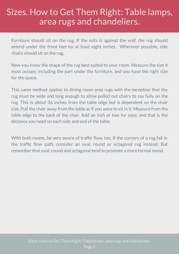Furniture should sit on the rug. If the sofa is against the wall, the rug should extend under the front feet by at least eight inches. Wherever possible, side chairs should sit on the rug.

Now you know the shape of the rug best suited to your room. Measure the size it must occupy, including the part under the furniture, and you have the right size for the space.

This same method applies to dining room area rugs with the exception that the rug must be wide and long enough to allow pulled out chairs to say fully on the rug. This is about 36 inches from the table edge but is dependent on the chair size. Pull the chair away from the table as if you were to sit in it. Measure from the table edge to the back of the chair. Add an inch or two for ease, and that is the distance you need on each side and end of the table.

With both rooms, be very aware of traffic flow, too. If the corners of a rug fall in the traffic flow path, consider an oval, round or octagonal rug instead. But remember that oval, round and octagonal tend to promote a more formal mood.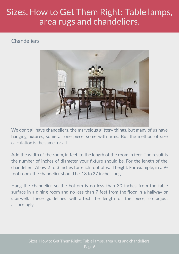#### **Chandeliers**



We don't all have chandeliers, the marvelous glittery things, but many of us have hanging fixtures, some all one piece, some with arms. But the method of size calculation is the same for all.

Add the width of the room, in feet, to the length of the room in feet. The result is the number of inches of diameter your fixture should be. For the length of the chandelier: Allow 2 to 3 inches for each foot of wall height. For example, in a 9 foot room, the chandelier should be 18 to 27 inches long.

Hang the chandelier so the bottom is no less than 30 inches from the table surface in a dining room and no less than 7 feet from the floor in a hallway or stairwell. These guidelines will affect the length of the piece, so adjust accordingly.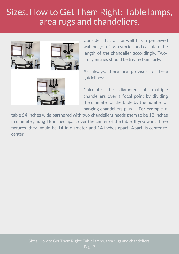

Consider that a stairwell has a perceived wall height of two stories and calculate the length of the chandelier accordingly. Twostory entries should be treated similarly.

As always, there are provisos to these guidelines:

Calculate the diameter of multiple chandeliers over a focal point by dividing the diameter of the table by the number of hanging chandeliers plus 1. For example, a

table 54 inches wide partnered with two chandeliers needs them to be 18 inches in diameter, hung 18 inches apart over the center of the table. If you want three fixtures, they would be 14 in diameter and 14 inches apart. 'Apart' is center to center.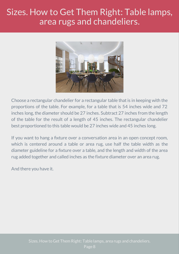

Choose a rectangular chandelier for a rectangular table that is in keeping with the proportions of the table. For example, for a table that is 54 inches wide and 72 inches long, the diameter should be 27 inches. Subtract 27 inches from the length of the table for the result of a length of 45 inches. The rectangular chandelier best proportioned to this table would be 27 inches wide and 45 inches long.

If you want to hang a fixture over a conversation area in an open concept room, which is centered around a table or area rug, use half the table width as the diameter guideline for a fixture over a table, and the length and width of the area rug added together and called inches as the fixture diameter over an area rug.

And there you have it.